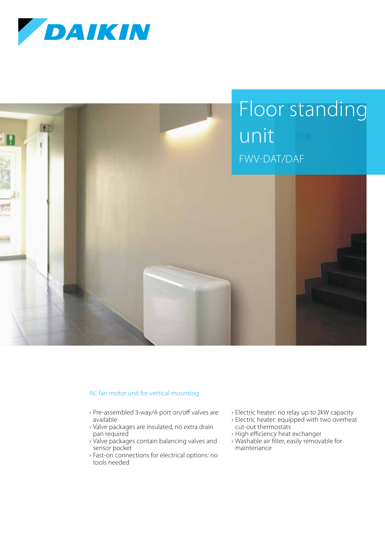



## AC fan motor unit for vertical mounting

- › Pre-assembled 3-way/4-port on/off valves are available
- › Valve packages are insulated, no extra drain pan required
- › Valve packages contain balancing valves and sensor pocket
- › Fast-on connections for electrical options: no tools needed
- › Electric heater: no relay up to 2kW capacity
- › Electric heater: equipped with two overheat cut-out thermostats
- › High efficiency heat exchanger
- › Washable air filter, easily removable for maintenance